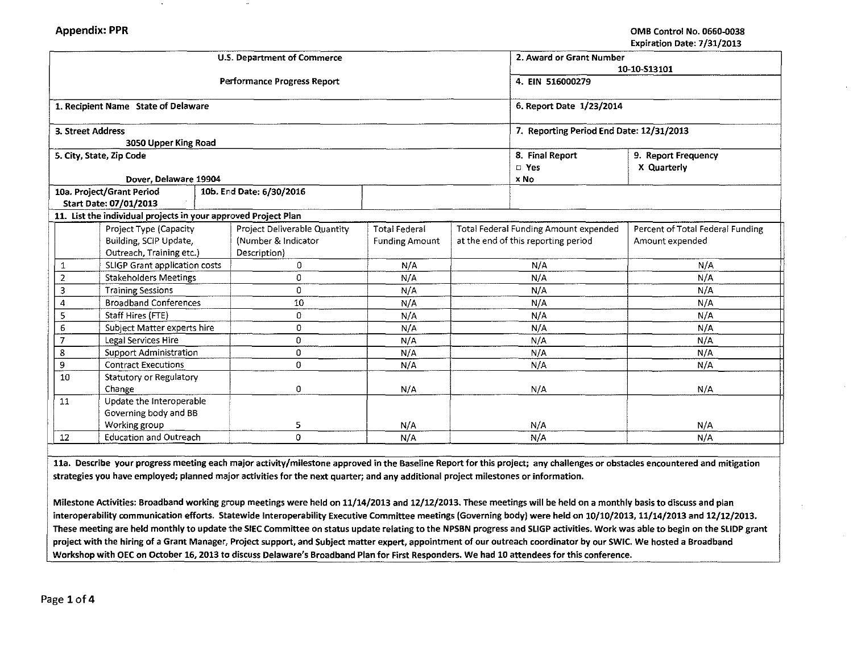|                |                                                                |  | <b>U.S. Department of Commerce</b> |                       |                                              | 2. Award or Grant Number |                                  |  |
|----------------|----------------------------------------------------------------|--|------------------------------------|-----------------------|----------------------------------------------|--------------------------|----------------------------------|--|
|                |                                                                |  | Performance Progress Report        |                       | 10-10-S13101<br>4. EIN 516000279             |                          |                                  |  |
|                | 1. Recipient Name State of Delaware                            |  |                                    |                       | 6. Report Date 1/23/2014                     |                          |                                  |  |
|                | 3. Street Address                                              |  |                                    |                       | 7. Reporting Period End Date: 12/31/2013     |                          |                                  |  |
|                | 3050 Upper King Road                                           |  |                                    |                       |                                              |                          |                                  |  |
|                | 5. City, State, Zip Code                                       |  |                                    |                       | 8. Final Report                              | 9. Report Frequency      |                                  |  |
|                |                                                                |  |                                    |                       | $\square$ Yes                                | X Quarterly              |                                  |  |
|                | Dover, Delaware 19904                                          |  |                                    |                       | x No                                         |                          |                                  |  |
|                | 10a. Project/Grant Period                                      |  | 10b. End Date: 6/30/2016           |                       |                                              |                          |                                  |  |
|                | Start Date: 07/01/2013                                         |  |                                    |                       |                                              |                          |                                  |  |
|                | 11. List the individual projects in your approved Project Plan |  |                                    |                       |                                              |                          |                                  |  |
|                | Project Type (Capacity                                         |  | Project Deliverable Quantity       | <b>Total Federal</b>  | <b>Total Federal Funding Amount expended</b> |                          | Percent of Total Federal Funding |  |
|                | Building, SCIP Update,                                         |  | (Number & Indicator                | <b>Funding Amount</b> | at the end of this reporting period          |                          | Amount expended                  |  |
|                | Outreach, Training etc.)                                       |  | Description)                       |                       |                                              |                          |                                  |  |
| 1              | SLIGP Grant application costs                                  |  | 0                                  | N/A                   | N/A                                          |                          | N/A                              |  |
| $\overline{2}$ | <b>Stakeholders Meetings</b>                                   |  | 0                                  | N/A                   | N/A                                          |                          | N/A                              |  |
| 3              | <b>Training Sessions</b>                                       |  | $\mathbf 0$                        | N/A                   | N/A                                          |                          | N/A                              |  |
| 4              | <b>Broadband Conferences</b>                                   |  | 10                                 | N/A                   | N/A                                          |                          | N/A                              |  |
| 5              | Staff Hires (FTE)                                              |  | 0                                  | N/A                   | N/A                                          |                          | N/A                              |  |
| 6              | Subject Matter experts hire                                    |  | 0                                  | N/A                   | N/A                                          |                          | N/A                              |  |
| $\overline{7}$ | Legal Services Hire                                            |  | 0                                  | N/A                   | N/A                                          |                          | N/A                              |  |
| 8              | Support Administration                                         |  | 0                                  | N/A                   | N/A                                          |                          | N/A                              |  |
| 9              | <b>Contract Executions</b>                                     |  | 0                                  | N/A                   | N/A                                          |                          | N/A                              |  |
| 10             | Statutory or Regulatory                                        |  |                                    |                       |                                              |                          |                                  |  |
|                | Change                                                         |  | 0                                  | N/A                   | N/A                                          |                          | N/A                              |  |
| 11             | Update the Interoperable                                       |  |                                    |                       |                                              |                          |                                  |  |
|                | Governing body and BB                                          |  |                                    |                       |                                              |                          |                                  |  |
|                | Working group                                                  |  | 5                                  | N/A                   | N/A                                          |                          | N/A                              |  |
| 12             | <b>Education and Outreach</b>                                  |  | $\Omega$                           | N/A                   |                                              | N/A                      | N/A                              |  |

lla. Describe your progress meeting each major activity/milestone approved in the Baseline Report for this project; any challenges or obstacles encountered and mitigation strategies you have employed; planned major activities for the next quarter; and any additional project milestones or information.

Milestone Activities: Broadband working group meetings were held on 11/14/2013 and 12/12/2013. These meetings will be held on a monthly basis to discuss and plan interoperability communication efforts. Statewide lnteroperability Executive Committee meetings (Governing body} were held on 10/10/2013, 11/14/2013 and 12/12/2013. These meeting are held monthly to update the SIEC Committee on status update relating to the NPSBN progress and SLIGP activities. Work was able to begin on the SLIDP grant project with the hiring of a Grant Manager, Project support, and Subject matter expert, appointment of our outreach coordinator by our SWIC. We hosted a Broadband Workshop with OEC on October 16, 2013 to discuss Delaware's Broadband Plan for First Responders. We had 10 attendees for this conference.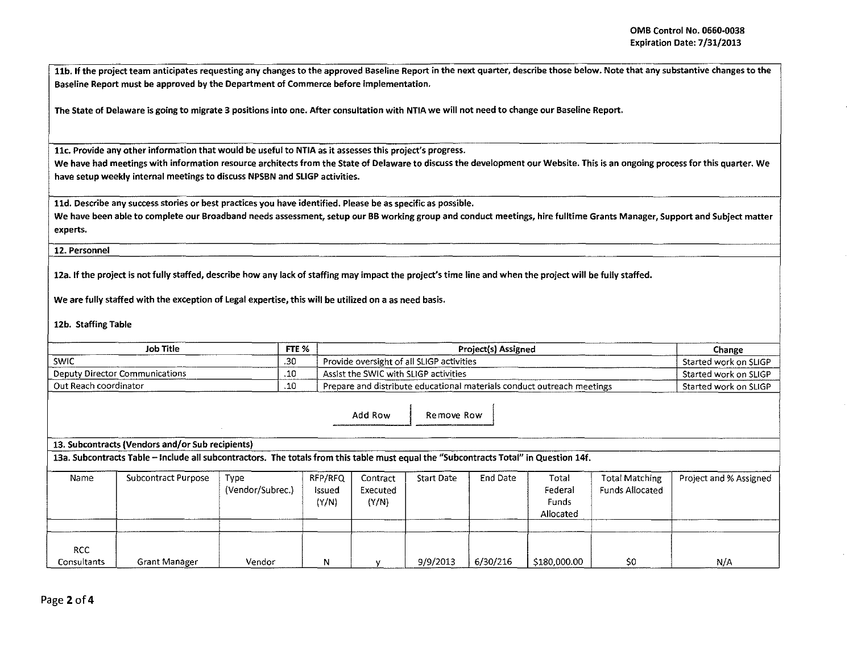11b. If the project team anticipates requesting any changes to the approved Baseline Report in the next quarter, describe those below. Note that any substantive changes to the Baseline Report must be approved by the Department of Commerce before implementation.

The State of Delaware is going to migrate 3 positions into one. After consultation with NTIA we will not need to change our Baseline Report.

llc. Provide any other information that would be useful to NTIA as it assesses this project's progress.

We have had meetings with information resource architects from the State of Delaware to discuss the development our Website. This is an ongoing process for this quarter. We have setup weekly internal meetings to discuss NPSBN and SLIGP activities.

11d. Describe any success stories or best practices you have identified. Please be as specific as possible.

We have been able to complete our Broadband needs assessment, setup our BB working group and conduct meetings, hire fulltime Grants Manager, Support and Subject matter experts.

12. Personnel

12a. If the project is not fully staffed, describe how any lack of staffing may impact the project's time line and when the project will be fully staffed.

We are fully staffed with the exception of Legal expertise, this will be utilized on a as need basis.

12b. Staffing Table

| <b>Job Title</b>                                 | FTE % | <b>Project(s) Assigned</b>                                             | Change                |
|--------------------------------------------------|-------|------------------------------------------------------------------------|-----------------------|
| SWIC                                             | .30   | Provide oversight of all SLIGP activities                              | Started work on SLIGP |
| Deputy Director Communications                   | .10   | Assist the SWIC with SLIGP activities                                  | Started work on SLIGP |
| Out Reach coordinator                            | .10   | Prepare and distribute educational materials conduct outreach meetings | Started work on SLIGP |
|                                                  |       | Add Row<br>Remove Row                                                  |                       |
| 13. Subcontracts (Vendors and/or Sub recipients) |       |                                                                        |                       |

13a. Subcontracts Table - Include all subcontractors. The totals from this table must equal the "Subcontracts Total" in Question 14f.

| Name                      | Subcontract Purpose | Type<br>(Vendor/Subrec.) | RFP/RFQ<br>Issued<br>(Y/N) | Contract<br>Executed<br>(Y/N) | <b>Start Date</b> | End Date | Total<br>Federal<br>Funds<br>Allocated | Total Matching<br>Funds Allocated | Project and % Assigned |
|---------------------------|---------------------|--------------------------|----------------------------|-------------------------------|-------------------|----------|----------------------------------------|-----------------------------------|------------------------|
| <b>RCC</b><br>Consultants | Grant Manager       | Vendor                   | N                          |                               | 9/9/2013          | 6/30/216 | \$180,000.00                           | S0                                | N/A                    |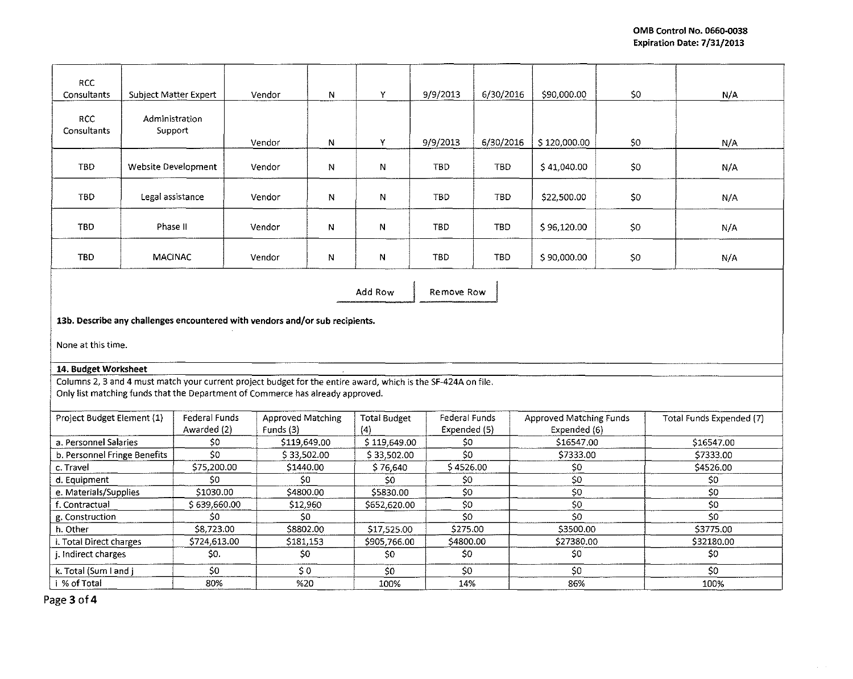$\mathcal{A}=\mathcal{A}$  .

| <b>RCC</b><br>Consultants                                                                                     | Subject Matter Expert        |                              | Vendor              | $\mathsf{N}$      | Y                          | 9/9/2013                      | 6/30/2016  | \$90,000.00                             | \$0 | N/A                      |  |
|---------------------------------------------------------------------------------------------------------------|------------------------------|------------------------------|---------------------|-------------------|----------------------------|-------------------------------|------------|-----------------------------------------|-----|--------------------------|--|
| <b>RCC</b><br>Consultants                                                                                     | Administration<br>Support    |                              |                     |                   |                            |                               |            |                                         |     |                          |  |
|                                                                                                               |                              |                              | Vendor              | N                 | Y                          | 9/9/2013                      | 6/30/2016  | \$120,000.00                            | \$0 | N/A                      |  |
| <b>TBD</b>                                                                                                    | Website Development          |                              | Vendor              | N                 | N                          | TBD                           | TBD.       | \$41,040.00                             | \$0 | N/A                      |  |
| <b>TBD</b>                                                                                                    | Legal assistance             |                              | Vendor              | N                 | N                          | TBD                           | <b>TBD</b> | \$22,500.00                             | \$0 | N/A                      |  |
| TBD                                                                                                           | Phase II                     |                              | Vendor              | N                 | N                          | <b>TBD</b>                    | <b>TBD</b> | \$96,120.00                             | \$0 | N/A                      |  |
| <b>TBD</b>                                                                                                    | <b>MACINAC</b>               |                              | Vendor              | N                 | N                          | TBD                           | TBD        | \$90,000.00                             | \$0 | N/A.                     |  |
|                                                                                                               |                              |                              |                     |                   | Add Row                    | Remove Row                    |            |                                         |     |                          |  |
| 13b. Describe any challenges encountered with vendors and/or sub recipients.                                  |                              |                              |                     |                   |                            |                               |            |                                         |     |                          |  |
| None at this time.                                                                                            |                              |                              |                     |                   |                            |                               |            |                                         |     |                          |  |
| 14. Budget Worksheet                                                                                          |                              |                              |                     |                   |                            |                               |            |                                         |     |                          |  |
| Columns 2, 3 and 4 must match your current project budget for the entire award, which is the SF-424A on file. |                              |                              |                     |                   |                            |                               |            |                                         |     |                          |  |
| Only list matching funds that the Department of Commerce has already approved.                                |                              |                              |                     |                   |                            |                               |            |                                         |     |                          |  |
| Project Budget Element (1)                                                                                    |                              | Federal Funds<br>Awarded (2) | Funds (3)           | Approved Matching | <b>Total Budget</b><br>(4) | Federal Funds<br>Expended (5) |            | Approved Matching Funds<br>Expended (6) |     | Total Funds Expended (7) |  |
| a. Personnel Salaries                                                                                         |                              |                              | \$0<br>\$119,649.00 |                   | \$119,649.00               | \$0                           |            | \$16547.00                              |     | \$16547.00               |  |
|                                                                                                               | b. Personnel Fringe Benefits |                              | \$33,502.00         |                   | \$33,502.00                | 50                            |            | \$7333.00                               |     | \$7333.00                |  |
| c. Travel                                                                                                     |                              | \$0<br>\$75,200.00           |                     | \$1440.00         | \$76,640                   | \$4526.00                     |            | \$0                                     |     | \$4526.00                |  |
| d. Equipment                                                                                                  |                              | \$0                          |                     | 50                | \$0                        | \$0                           |            | 50                                      |     | 50                       |  |
| e. Materials/Supplies                                                                                         |                              | \$1030.00                    |                     | \$4800.00         |                            | \$0                           |            | $\overline{50}$                         |     | 50                       |  |
| f. Contractual                                                                                                |                              | \$639,660.00                 |                     | \$12,960          |                            | \$0<br>\$652,620.00           |            | \$0                                     |     | \$0                      |  |
| g. Construction                                                                                               |                              | \$0                          |                     | SO                |                            | \$0                           |            | 50                                      |     | \$0                      |  |
| h. Other                                                                                                      |                              | \$8,723.00                   |                     | \$8802.00         |                            | \$17,525.00<br>\$275.00       |            | \$3500.00                               |     | \$3775.00                |  |
| i. Total Direct charges                                                                                       |                              | \$724,613.00                 |                     | \$181,153         | \$905,766.00               | \$4800.00                     |            | \$27380.00                              |     | \$32180.00               |  |
| j. Indirect charges                                                                                           |                              | \$0.                         |                     | \$0               | \$0                        | \$0                           |            | \$0                                     |     | \$0                      |  |
| k. Total (Sum I and j                                                                                         |                              | SO                           |                     | $\zeta$ 0         | \$0                        | \$0                           |            | \$0                                     |     | \$0                      |  |
| i % of Total                                                                                                  |                              | 80%                          |                     | %20               | 100%                       | 14%                           |            | 86%                                     |     | 100%                     |  |